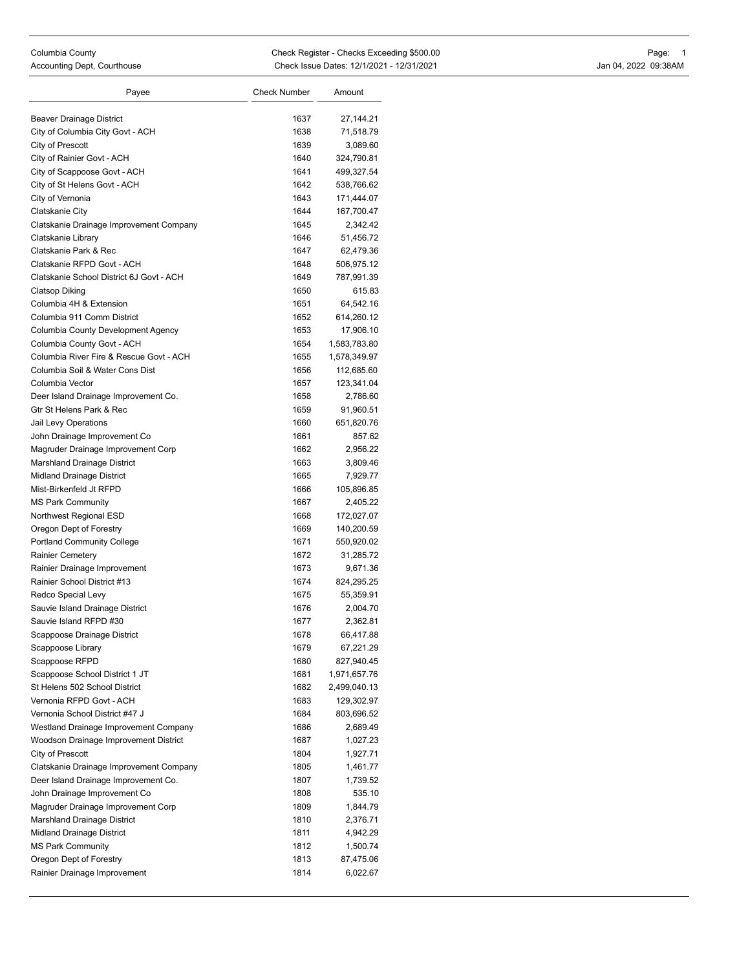| Beaver Drainage District                 | 1637 | 27,144.21    |
|------------------------------------------|------|--------------|
| City of Columbia City Govt - ACH         | 1638 | 71,518.79    |
| City of Prescott                         | 1639 | 3,089.60     |
| City of Rainier Govt - ACH               | 1640 | 324,790.81   |
| City of Scappoose Govt - ACH             | 1641 | 499,327.54   |
| City of St Helens Govt - ACH             | 1642 | 538,766.62   |
| City of Vernonia                         | 1643 | 171,444.07   |
| Clatskanie City                          | 1644 | 167,700.47   |
| Clatskanie Drainage Improvement Company  | 1645 | 2,342.42     |
| Clatskanie Library                       | 1646 | 51,456.72    |
| Clatskanie Park & Rec                    | 1647 | 62,479.36    |
| Clatskanie RFPD Govt - ACH               | 1648 | 506,975.12   |
| Clatskanie School District 6J Govt - ACH | 1649 | 787,991.39   |
| <b>Clatsop Diking</b>                    | 1650 | 615.83       |
| Columbia 4H & Extension                  | 1651 | 64,542.16    |
| Columbia 911 Comm District               | 1652 | 614,260.12   |
| Columbia County Development Agency       | 1653 | 17,906.10    |
| Columbia County Govt - ACH               | 1654 | 1,583,783.80 |
| Columbia River Fire & Rescue Govt - ACH  | 1655 | 1,578,349.97 |
| Columbia Soil & Water Cons Dist          | 1656 | 112,685.60   |
| Columbia Vector                          | 1657 | 123,341.04   |
| Deer Island Drainage Improvement Co.     | 1658 | 2,786.60     |
| Gtr St Helens Park & Rec                 | 1659 | 91,960.51    |
| Jail Levy Operations                     | 1660 | 651,820.76   |
| John Drainage Improvement Co             | 1661 | 857.62       |
| Magruder Drainage Improvement Corp       | 1662 | 2,956.22     |
| <b>Marshland Drainage District</b>       | 1663 | 3,809.46     |
| <b>Midland Drainage District</b>         | 1665 | 7,929.77     |
| Mist-Birkenfeld Jt RFPD                  | 1666 | 105,896.85   |
| <b>MS Park Community</b>                 | 1667 | 2,405.22     |
| Northwest Regional ESD                   | 1668 | 172,027.07   |
| Oregon Dept of Forestry                  | 1669 | 140,200.59   |
| <b>Portland Community College</b>        | 1671 | 550,920.02   |
| <b>Rainier Cemetery</b>                  | 1672 | 31,285.72    |
| Rainier Drainage Improvement             | 1673 | 9,671.36     |
| Rainier School District #13              | 1674 | 824,295.25   |
| Redco Special Levy                       | 1675 | 55,359.91    |
| Sauvie Island Drainage District          | 1676 | 2,004.70     |
| Sauvie Island RFPD #30                   | 1677 | 2,362.81     |
| Scappoose Drainage District              | 1678 | 66,417.88    |
| Scappoose Library                        | 1679 | 67,221.29    |
| Scappoose RFPD                           | 1680 | 827,940.45   |
| Scappoose School District 1 JT           | 1681 | 1,971,657.76 |
| St Helens 502 School District            | 1682 | 2,499,040.13 |
| Vernonia RFPD Govt - ACH                 | 1683 | 129,302.97   |
| Vernonia School District #47 J           | 1684 | 803,696.52   |
| Westland Drainage Improvement Company    | 1686 | 2,689.49     |
| Woodson Drainage Improvement District    | 1687 | 1,027.23     |
| City of Prescott                         | 1804 | 1,927.71     |
| Clatskanie Drainage Improvement Company  | 1805 | 1,461.77     |
| Deer Island Drainage Improvement Co.     | 1807 | 1,739.52     |
| John Drainage Improvement Co             | 1808 | 535.10       |
| Magruder Drainage Improvement Corp       | 1809 | 1,844.79     |
| Marshland Drainage District              | 1810 | 2,376.71     |
| Midland Drainage District                | 1811 | 4,942.29     |
| <b>MS Park Community</b>                 | 1812 | 1,500.74     |
| Oregon Dept of Forestry                  | 1813 | 87,475.06    |
| Rainier Drainage Improvement             | 1814 | 6,022.67     |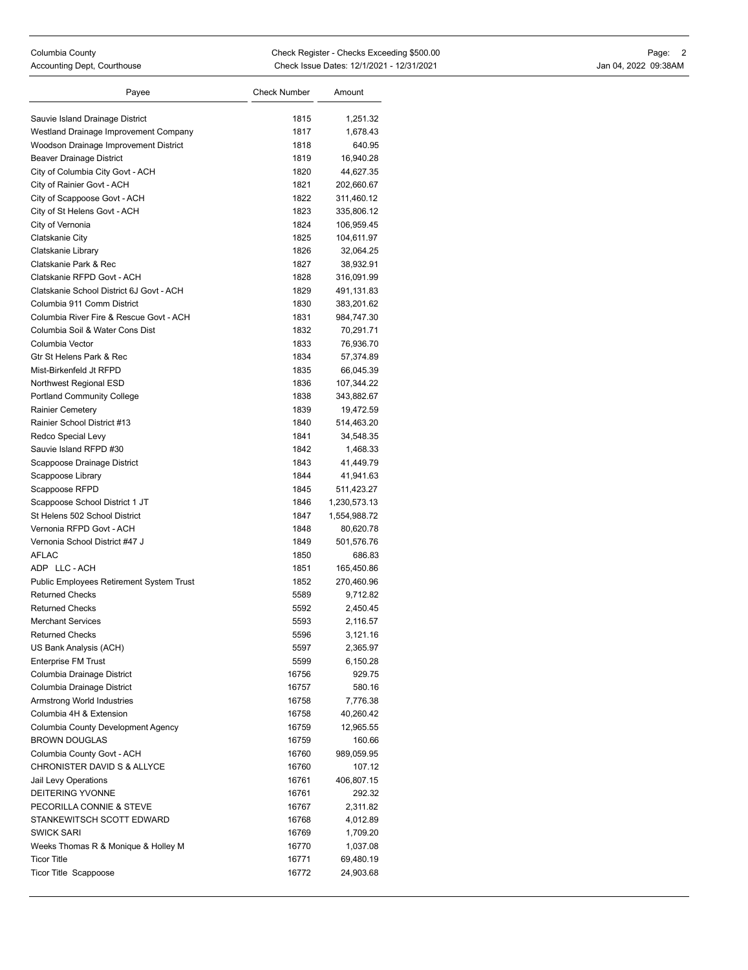| Payee                                    | <b>Check Number</b> | Amount       |
|------------------------------------------|---------------------|--------------|
| Sauvie Island Drainage District          | 1815                | 1,251.32     |
| Westland Drainage Improvement Company    | 1817                | 1,678.43     |
| Woodson Drainage Improvement District    | 1818                | 640.95       |
| Beaver Drainage District                 | 1819                | 16,940.28    |
| City of Columbia City Govt - ACH         | 1820                | 44,627.35    |
| City of Rainier Govt - ACH               | 1821                | 202,660.67   |
| City of Scappoose Govt - ACH             | 1822                | 311,460.12   |
| City of St Helens Govt - ACH             | 1823                | 335,806.12   |
| City of Vernonia                         | 1824                | 106,959.45   |
| Clatskanie City                          | 1825                | 104,611.97   |
| Clatskanie Library                       | 1826                | 32,064.25    |
| Clatskanie Park & Rec                    | 1827                | 38,932.91    |
| Clatskanie RFPD Govt - ACH               | 1828                | 316,091.99   |
| Clatskanie School District 6J Govt - ACH | 1829                | 491,131.83   |
| Columbia 911 Comm District               | 1830                | 383,201.62   |
| Columbia River Fire & Rescue Govt - ACH  | 1831                | 984,747.30   |
| Columbia Soil & Water Cons Dist          | 1832                | 70,291.71    |
| Columbia Vector                          | 1833                | 76,936.70    |
| Gtr St Helens Park & Rec                 | 1834                | 57,374.89    |
| Mist-Birkenfeld Jt RFPD                  | 1835                | 66,045.39    |
| Northwest Regional ESD                   | 1836                | 107,344.22   |
| <b>Portland Community College</b>        | 1838                | 343,882.67   |
| <b>Rainier Cemetery</b>                  | 1839                | 19,472.59    |
| Rainier School District #13              | 1840                | 514,463.20   |
| Redco Special Levy                       | 1841                | 34,548.35    |
| Sauvie Island RFPD #30                   | 1842                | 1,468.33     |
| Scappoose Drainage District              | 1843                | 41,449.79    |
| Scappoose Library                        | 1844                | 41,941.63    |
| Scappoose RFPD                           | 1845                | 511,423.27   |
| Scappoose School District 1 JT           | 1846                | 1,230,573.13 |
| St Helens 502 School District            | 1847                | 1,554,988.72 |
| Vernonia RFPD Govt - ACH                 | 1848                | 80,620.78    |
| Vernonia School District #47 J           | 1849                | 501,576.76   |
| <b>AFLAC</b>                             | 1850                | 686.83       |
| ADP LLC-ACH                              | 1851                | 165,450.86   |
| Public Employees Retirement System Trust | 1852                | 270,460.96   |
| <b>Returned Checks</b>                   | 5589                | 9,712.82     |
| <b>Returned Checks</b>                   | 5592                | 2,450.45     |
| <b>Merchant Services</b>                 | 5593                | 2,116.57     |
| <b>Returned Checks</b>                   | 5596                | 3,121.16     |
| US Bank Analysis (ACH)                   | 5597                | 2,365.97     |
| <b>Enterprise FM Trust</b>               | 5599                | 6,150.28     |
| Columbia Drainage District               | 16756               | 929.75       |
| Columbia Drainage District               | 16757               | 580.16       |
| Armstrong World Industries               | 16758               | 7,776.38     |
| Columbia 4H & Extension                  | 16758               | 40,260.42    |
| Columbia County Development Agency       | 16759               | 12,965.55    |
| <b>BROWN DOUGLAS</b>                     | 16759               | 160.66       |
| Columbia County Govt - ACH               | 16760               | 989,059.95   |
| CHRONISTER DAVID S & ALLYCE              | 16760               | 107.12       |
| Jail Levy Operations                     | 16761               | 406,807.15   |
| DEITERING YVONNE                         | 16761               | 292.32       |
| PECORILLA CONNIE & STEVE                 | 16767               | 2,311.82     |
| STANKEWITSCH SCOTT EDWARD                | 16768               | 4,012.89     |
| <b>SWICK SARI</b>                        | 16769               | 1,709.20     |
| Weeks Thomas R & Monique & Holley M      | 16770               | 1,037.08     |
| <b>Ticor Title</b>                       | 16771               | 69,480.19    |
| <b>Ticor Title Scappoose</b>             | 16772               | 24,903.68    |
|                                          |                     |              |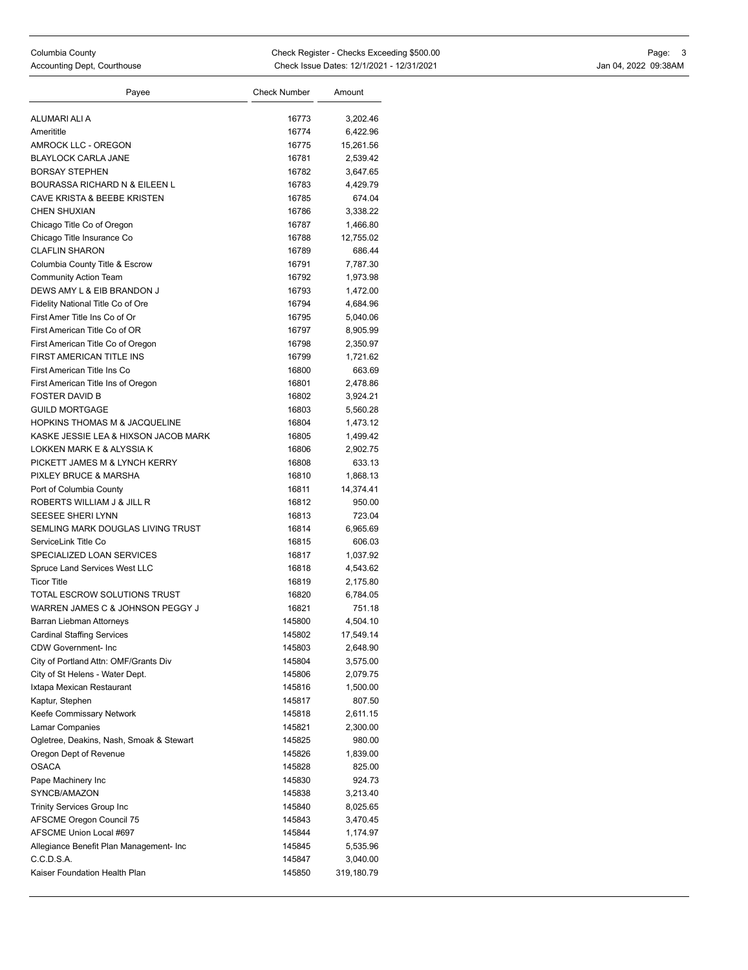| Payee                                       | <b>Check Number</b> | Amount     |
|---------------------------------------------|---------------------|------------|
| ALUMARI ALI A                               | 16773               | 3,202.46   |
| Amerititle                                  | 16774               | 6,422.96   |
| AMROCK LLC - OREGON                         | 16775               | 15,261.56  |
| <b>BLAYLOCK CARLA JANE</b>                  | 16781               | 2,539.42   |
| <b>BORSAY STEPHEN</b>                       | 16782               | 3,647.65   |
| <b>BOURASSA RICHARD N &amp; EILEEN L</b>    | 16783               | 4,429.79   |
| CAVE KRISTA & BEEBE KRISTEN                 | 16785               | 674.04     |
| <b>CHEN SHUXIAN</b>                         | 16786               | 3,338.22   |
| Chicago Title Co of Oregon                  | 16787               | 1,466.80   |
| Chicago Title Insurance Co                  | 16788               | 12,755.02  |
| <b>CLAFLIN SHARON</b>                       | 16789               | 686.44     |
| Columbia County Title & Escrow              | 16791               | 7,787.30   |
| <b>Community Action Team</b>                | 16792               | 1,973.98   |
| DEWS AMY L & EIB BRANDON J                  | 16793               | 1,472.00   |
| Fidelity National Title Co of Ore           | 16794               | 4,684.96   |
| First Amer Title Ins Co of Or               | 16795               | 5,040.06   |
| First American Title Co of OR               | 16797               | 8,905.99   |
| First American Title Co of Oregon           | 16798               | 2,350.97   |
| FIRST AMERICAN TITLE INS                    | 16799               | 1,721.62   |
| First American Title Ins Co                 | 16800               | 663.69     |
| First American Title Ins of Oregon          | 16801               | 2,478.86   |
| <b>FOSTER DAVID B</b>                       | 16802               | 3,924.21   |
| <b>GUILD MORTGAGE</b>                       | 16803               | 5,560.28   |
| <b>HOPKINS THOMAS M &amp; JACQUELINE</b>    | 16804               | 1,473.12   |
| KASKE JESSIE LEA & HIXSON JACOB MARK        | 16805               | 1,499.42   |
| LOKKEN MARK E & ALYSSIA K                   | 16806               | 2,902.75   |
| PICKETT JAMES M & LYNCH KERRY               | 16808               | 633.13     |
| PIXLEY BRUCE & MARSHA                       | 16810               | 1,868.13   |
| Port of Columbia County                     | 16811               | 14,374.41  |
| ROBERTS WILLIAM J & JILL R                  | 16812               | 950.00     |
| SEESEE SHERI LYNN                           | 16813               | 723.04     |
| SEMLING MARK DOUGLAS LIVING TRUST           | 16814               | 6,965.69   |
| ServiceLink Title Co                        | 16815               | 606.03     |
| SPECIALIZED LOAN SERVICES                   | 16817               | 1,037.92   |
| Spruce Land Services West LLC               | 16818               | 4,543.62   |
| <b>Ticor Title</b>                          | 16819               | 2,175.80   |
| TOTAL ESCROW SOLUTIONS TRUST                | 16820               | 6,784.05   |
| WARREN JAMES C & JOHNSON PEGGY J            | 16821               | 751.18     |
| Barran Liebman Attorneys                    | 145800              | 4,504.10   |
| <b>Cardinal Staffing Services</b>           | 145802              | 17,549.14  |
| <b>CDW Government-Inc</b>                   | 145803              | 2,648.90   |
| City of Portland Attn: OMF/Grants Div       | 145804              | 3,575.00   |
| City of St Helens - Water Dept.             | 145806              | 2,079.75   |
| Ixtapa Mexican Restaurant                   | 145816              | 1,500.00   |
| Kaptur, Stephen                             | 145817              | 807.50     |
| Keefe Commissary Network                    | 145818              | 2,611.15   |
| Lamar Companies                             | 145821              | 2,300.00   |
| Ogletree, Deakins, Nash, Smoak & Stewart    | 145825              | 980.00     |
| Oregon Dept of Revenue                      | 145826              | 1,839.00   |
| <b>OSACA</b>                                | 145828              | 825.00     |
| Pape Machinery Inc                          | 145830              | 924.73     |
| SYNCB/AMAZON                                | 145838              | 3,213.40   |
| Trinity Services Group Inc                  | 145840              | 8,025.65   |
| AFSCME Oregon Council 75                    | 145843              | 3,470.45   |
| AFSCME Union Local #697                     | 145844              | 1,174.97   |
| Allegiance Benefit Plan Management- Inc     | 145845              | 5,535.96   |
| C.C.D.S.A.<br>Kaiser Foundation Health Plan | 145847              | 3,040.00   |
|                                             | 145850              | 319,180.79 |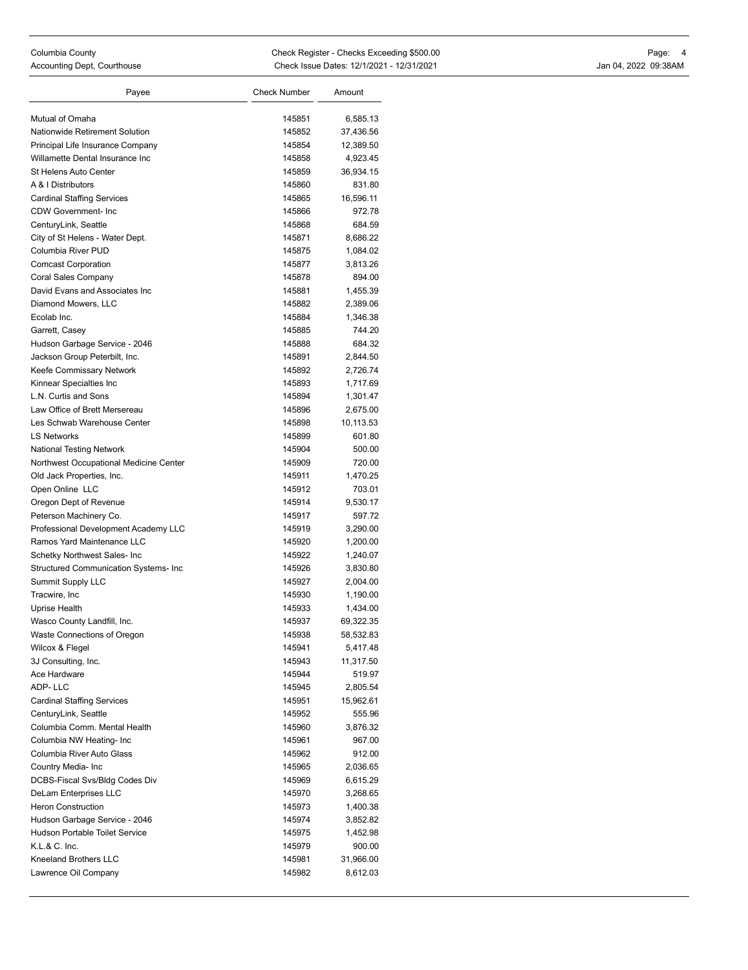| Payee                                        | <b>Check Number</b> | Amount    |
|----------------------------------------------|---------------------|-----------|
| Mutual of Omaha                              | 145851              | 6,585.13  |
| Nationwide Retirement Solution               | 145852              | 37,436.56 |
| Principal Life Insurance Company             | 145854              | 12,389.50 |
| Willamette Dental Insurance Inc              | 145858              | 4,923.45  |
| <b>St Helens Auto Center</b>                 | 145859              | 36,934.15 |
| A & I Distributors                           | 145860              | 831.80    |
| <b>Cardinal Staffing Services</b>            | 145865              | 16,596.11 |
| <b>CDW Government-Inc</b>                    | 145866              | 972.78    |
| CenturyLink, Seattle                         | 145868              | 684.59    |
| City of St Helens - Water Dept.              | 145871              | 8,686.22  |
| Columbia River PUD                           | 145875              | 1,084.02  |
| <b>Comcast Corporation</b>                   | 145877              | 3,813.26  |
| Coral Sales Company                          | 145878              | 894.00    |
| David Evans and Associates Inc               | 145881              | 1,455.39  |
| Diamond Mowers, LLC                          | 145882              | 2,389.06  |
| Ecolab Inc.                                  | 145884              | 1,346.38  |
| Garrett, Casey                               | 145885              | 744.20    |
| Hudson Garbage Service - 2046                | 145888              | 684.32    |
| Jackson Group Peterbilt, Inc.                | 145891              | 2,844.50  |
| Keefe Commissary Network                     | 145892              | 2,726.74  |
| Kinnear Specialties Inc                      | 145893              | 1,717.69  |
| L.N. Curtis and Sons                         | 145894              | 1,301.47  |
| Law Office of Brett Mersereau                | 145896              | 2,675.00  |
| Les Schwab Warehouse Center                  | 145898              | 10,113.53 |
| <b>LS Networks</b>                           | 145899              | 601.80    |
| <b>National Testing Network</b>              | 145904              | 500.00    |
| Northwest Occupational Medicine Center       | 145909              | 720.00    |
| Old Jack Properties, Inc.                    | 145911              | 1,470.25  |
| Open Online LLC                              | 145912              | 703.01    |
| Oregon Dept of Revenue                       | 145914              | 9,530.17  |
| Peterson Machinery Co.                       | 145917              | 597.72    |
| Professional Development Academy LLC         | 145919              | 3,290.00  |
| Ramos Yard Maintenance LLC                   | 145920              | 1,200.00  |
| Schetky Northwest Sales- Inc                 | 145922              | 1,240.07  |
| <b>Structured Communication Systems- Inc</b> | 145926              | 3,830.80  |
| <b>Summit Supply LLC</b>                     | 145927              | 2,004.00  |
| Tracwire, Inc.                               | 145930              | 1,190.00  |
| Uprise Health                                | 145933              | 1,434.00  |
| Wasco County Landfill, Inc.                  | 145937              | 69,322.35 |
| Waste Connections of Oregon                  | 145938              | 58,532.83 |
| Wilcox & Flegel                              | 145941              | 5,417.48  |
| 3J Consulting, Inc.                          | 145943              | 11,317.50 |
| Ace Hardware                                 | 145944              | 519.97    |
| ADP-LLC                                      | 145945              | 2,805.54  |
| <b>Cardinal Staffing Services</b>            | 145951              | 15,962.61 |
| CenturyLink, Seattle                         | 145952              | 555.96    |
| Columbia Comm. Mental Health                 | 145960              | 3,876.32  |
| Columbia NW Heating- Inc                     | 145961              | 967.00    |
| Columbia River Auto Glass                    | 145962              | 912.00    |
| Country Media- Inc                           | 145965              | 2,036.65  |
| DCBS-Fiscal Svs/Bldg Codes Div               | 145969              | 6,615.29  |
| DeLam Enterprises LLC                        | 145970              | 3,268.65  |
| <b>Heron Construction</b>                    | 145973              | 1,400.38  |
| Hudson Garbage Service - 2046                | 145974              | 3,852.82  |
| Hudson Portable Toilet Service               | 145975              | 1,452.98  |
| K.L.& C. Inc.                                | 145979              | 900.00    |
| Kneeland Brothers LLC                        | 145981              | 31,966.00 |
| Lawrence Oil Company                         | 145982              | 8,612.03  |
|                                              |                     |           |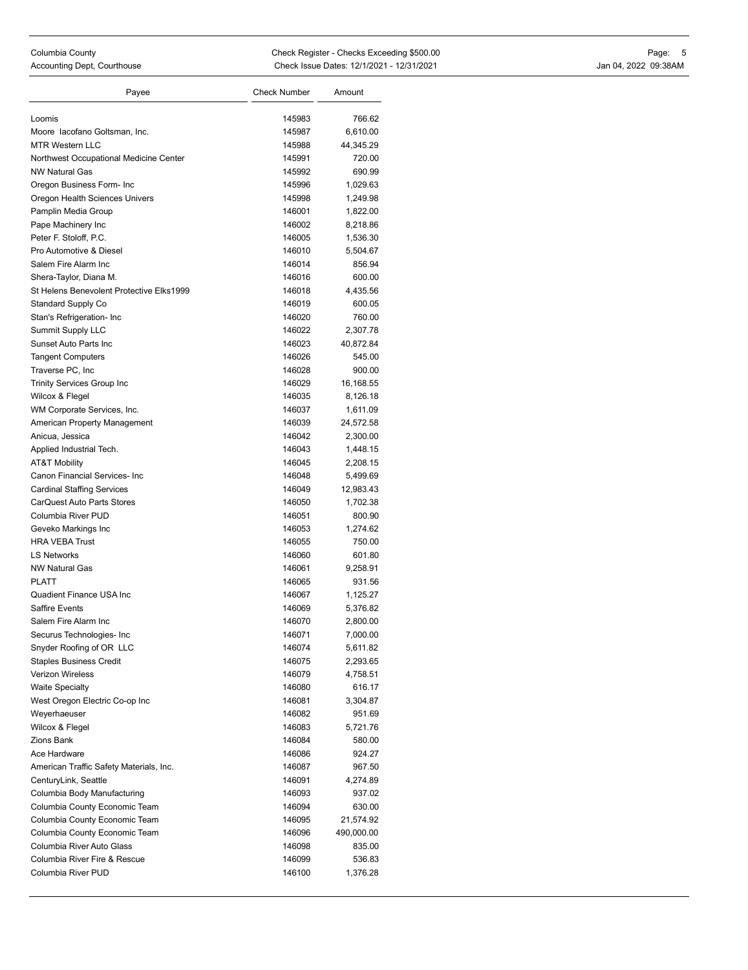| Payee                                             | <b>Check Number</b> | Amount             |
|---------------------------------------------------|---------------------|--------------------|
|                                                   |                     |                    |
| Loomis                                            | 145983              | 766.62             |
| Moore lacofano Goltsman, Inc.                     | 145987              | 6,610.00           |
| <b>MTR Western LLC</b>                            | 145988              | 44,345.29          |
| Northwest Occupational Medicine Center            | 145991              | 720.00             |
| <b>NW Natural Gas</b>                             | 145992              | 690.99             |
| Oregon Business Form- Inc                         | 145996              | 1,029.63           |
| Oregon Health Sciences Univers                    | 145998              | 1,249.98           |
| Pamplin Media Group                               | 146001              | 1,822.00           |
| Pape Machinery Inc                                | 146002              | 8,218.86           |
| Peter F. Stoloff, P.C.<br>Pro Automotive & Diesel | 146005              | 1,536.30           |
| Salem Fire Alarm Inc                              | 146010              | 5,504.67<br>856.94 |
|                                                   | 146014              |                    |
| Shera-Taylor, Diana M.                            | 146016              | 600.00             |
| St Helens Benevolent Protective Elks1999          | 146018              | 4,435.56           |
| <b>Standard Supply Co</b>                         | 146019              | 600.05             |
| Stan's Refrigeration- Inc                         | 146020              | 760.00             |
| <b>Summit Supply LLC</b><br>Sunset Auto Parts Inc | 146022              | 2,307.78           |
|                                                   | 146023              | 40,872.84          |
| <b>Tangent Computers</b>                          | 146026              | 545.00             |
| Traverse PC, Inc                                  | 146028              | 900.00             |
| Trinity Services Group Inc                        | 146029              | 16,168.55          |
| Wilcox & Flegel                                   | 146035              | 8,126.18           |
| WM Corporate Services, Inc.                       | 146037              | 1,611.09           |
| American Property Management                      | 146039              | 24,572.58          |
| Anicua, Jessica                                   | 146042              | 2,300.00           |
| Applied Industrial Tech.                          | 146043              | 1,448.15           |
| <b>AT&amp;T Mobility</b>                          | 146045              | 2,208.15           |
| Canon Financial Services- Inc                     | 146048              | 5,499.69           |
| <b>Cardinal Staffing Services</b>                 | 146049              | 12,983.43          |
| <b>CarQuest Auto Parts Stores</b>                 | 146050              | 1,702.38           |
| Columbia River PUD                                | 146051              | 800.90             |
| Geveko Markings Inc                               | 146053              | 1,274.62           |
| <b>HRA VEBA Trust</b>                             | 146055              | 750.00             |
| <b>LS Networks</b>                                | 146060              | 601.80             |
| <b>NW Natural Gas</b>                             | 146061              | 9,258.91           |
| <b>PLATT</b>                                      | 146065              | 931.56             |
| Quadient Finance USA Inc                          | 146067              | 1,125.27           |
| <b>Saffire Events</b>                             | 146069              | 5,376.82           |
| Salem Fire Alarm Inc                              | 146070              | 2,800.00           |
| Securus Technologies- Inc                         | 146071              | 7,000.00           |
| Snyder Roofing of OR LLC                          | 146074              | 5,611.82           |
| <b>Staples Business Credit</b>                    | 146075              | 2,293.65           |
| Verizon Wireless                                  | 146079              | 4,758.51           |
| <b>Waite Specialty</b>                            | 146080              | 616.17             |
| West Oregon Electric Co-op Inc                    | 146081              | 3,304.87           |
| Weyerhaeuser                                      | 146082              | 951.69             |
| Wilcox & Flegel                                   | 146083              | 5,721.76           |
| Zions Bank<br>Ace Hardware                        | 146084              | 580.00             |
|                                                   | 146086              | 924.27             |
| American Traffic Safety Materials, Inc.           | 146087              | 967.50             |
| CenturyLink, Seattle                              | 146091              | 4,274.89           |
| Columbia Body Manufacturing                       | 146093              | 937.02             |
| Columbia County Economic Team                     | 146094              | 630.00             |
| Columbia County Economic Team                     | 146095              | 21,574.92          |
| Columbia County Economic Team                     | 146096              | 490,000.00         |
| Columbia River Auto Glass                         | 146098              | 835.00             |
| Columbia River Fire & Rescue                      | 146099              | 536.83             |
| Columbia River PUD                                | 146100              | 1,376.28           |